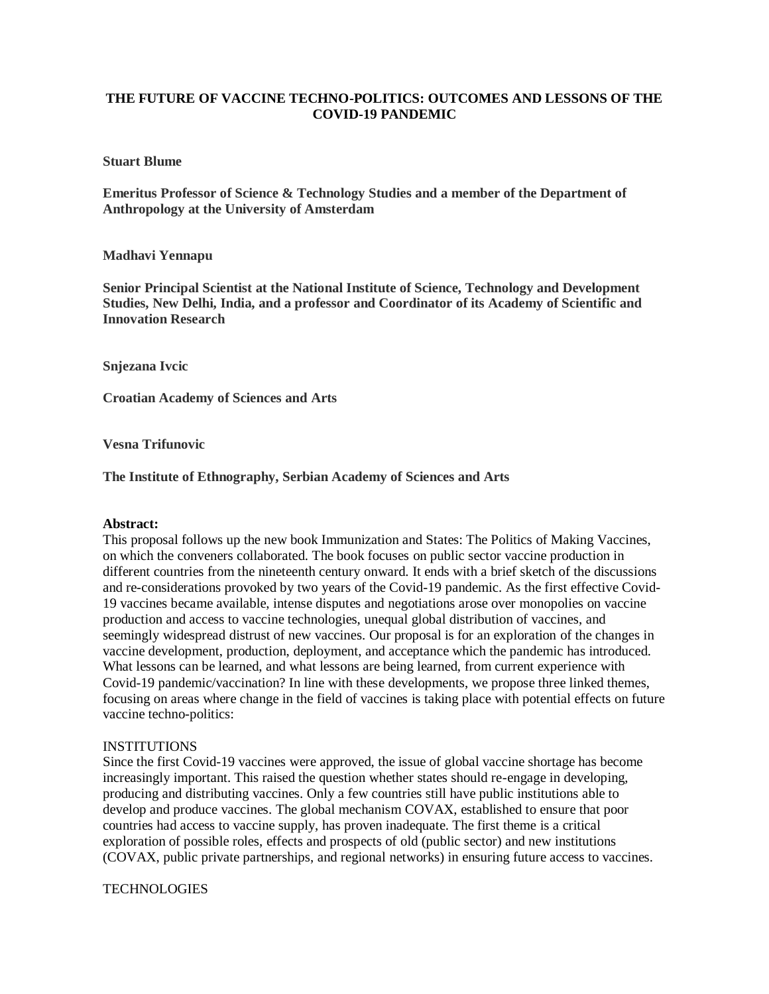## **THE FUTURE OF VACCINE TECHNO-POLITICS: OUTCOMES AND LESSONS OF THE COVID-19 PANDEMIC**

### **Stuart Blume**

**Emeritus Professor of Science & Technology Studies and a member of the Department of Anthropology at the University of Amsterdam**

### **Madhavi Yennapu**

**Senior Principal Scientist at the National Institute of Science, Technology and Development Studies, New Delhi, India, and a professor and Coordinator of its Academy of Scientific and Innovation Research**

**Snjezana Ivcic**

**Croatian Academy of Sciences and Arts**

**Vesna Trifunovic**

**The Institute of Ethnography, Serbian Academy of Sciences and Arts**

#### **Abstract:**

This proposal follows up the new book Immunization and States: The Politics of Making Vaccines, on which the conveners collaborated. The book focuses on public sector vaccine production in different countries from the nineteenth century onward. It ends with a brief sketch of the discussions and re-considerations provoked by two years of the Covid-19 pandemic. As the first effective Covid-19 vaccines became available, intense disputes and negotiations arose over monopolies on vaccine production and access to vaccine technologies, unequal global distribution of vaccines, and seemingly widespread distrust of new vaccines. Our proposal is for an exploration of the changes in vaccine development, production, deployment, and acceptance which the pandemic has introduced. What lessons can be learned, and what lessons are being learned, from current experience with Covid-19 pandemic/vaccination? In line with these developments, we propose three linked themes, focusing on areas where change in the field of vaccines is taking place with potential effects on future vaccine techno-politics:

#### **INSTITUTIONS**

Since the first Covid-19 vaccines were approved, the issue of global vaccine shortage has become increasingly important. This raised the question whether states should re-engage in developing, producing and distributing vaccines. Only a few countries still have public institutions able to develop and produce vaccines. The global mechanism COVAX, established to ensure that poor countries had access to vaccine supply, has proven inadequate. The first theme is a critical exploration of possible roles, effects and prospects of old (public sector) and new institutions (COVAX, public private partnerships, and regional networks) in ensuring future access to vaccines.

#### TECHNOLOGIES